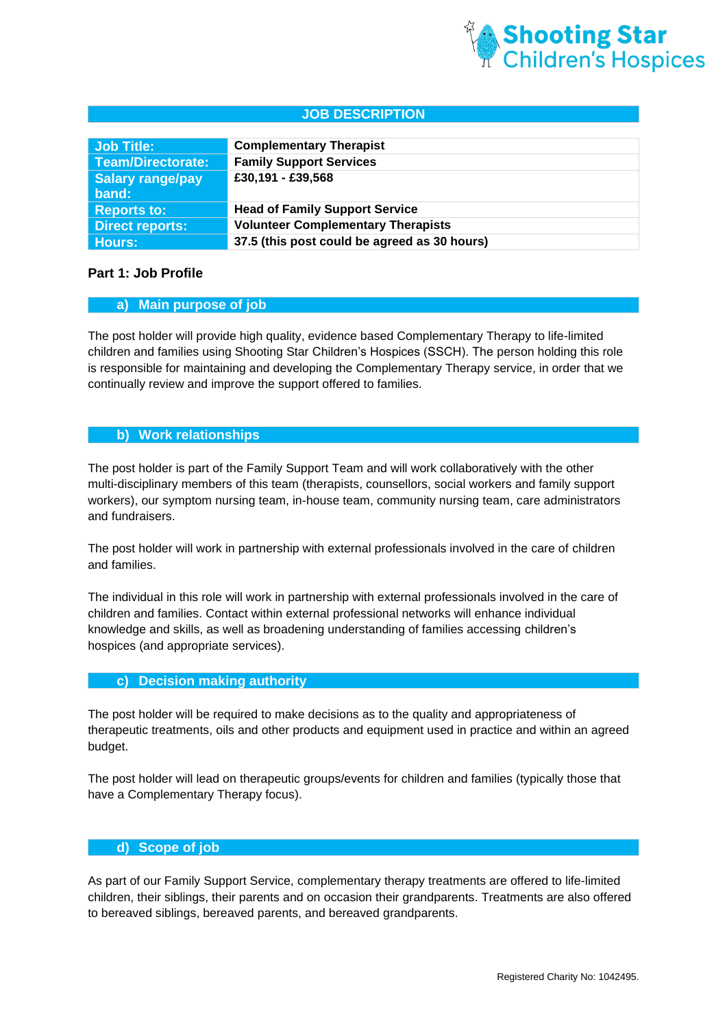

# **JOB DESCRIPTION**

| Job Title:             | <b>Complementary Therapist</b>               |
|------------------------|----------------------------------------------|
| Team/Directorate:      | <b>Family Support Services</b>               |
| Salary range/pay       | £30,191 - £39,568                            |
| band:                  |                                              |
| <b>Reports to:</b>     | <b>Head of Family Support Service</b>        |
| <b>Direct reports:</b> | <b>Volunteer Complementary Therapists</b>    |
| Hours:                 | 37.5 (this post could be agreed as 30 hours) |

#### **Part 1: Job Profile**

#### **a) Main purpose of job**

The post holder will provide high quality, evidence based Complementary Therapy to life-limited children and families using Shooting Star Children's Hospices (SSCH). The person holding this role is responsible for maintaining and developing the Complementary Therapy service, in order that we continually review and improve the support offered to families.

## **b) Work relationships**

The post holder is part of the Family Support Team and will work collaboratively with the other multi-disciplinary members of this team (therapists, counsellors, social workers and family support workers), our symptom nursing team, in-house team, community nursing team, care administrators and fundraisers.

The post holder will work in partnership with external professionals involved in the care of children and families.

The individual in this role will work in partnership with external professionals involved in the care of children and families. Contact within external professional networks will enhance individual knowledge and skills, as well as broadening understanding of families accessing children's hospices (and appropriate services).

#### **c) Decision making authority**

The post holder will be required to make decisions as to the quality and appropriateness of therapeutic treatments, oils and other products and equipment used in practice and within an agreed budget.

The post holder will lead on therapeutic groups/events for children and families (typically those that have a Complementary Therapy focus).

# **d) Scope of job**

As part of our Family Support Service, complementary therapy treatments are offered to life-limited children, their siblings, their parents and on occasion their grandparents. Treatments are also offered to bereaved siblings, bereaved parents, and bereaved grandparents.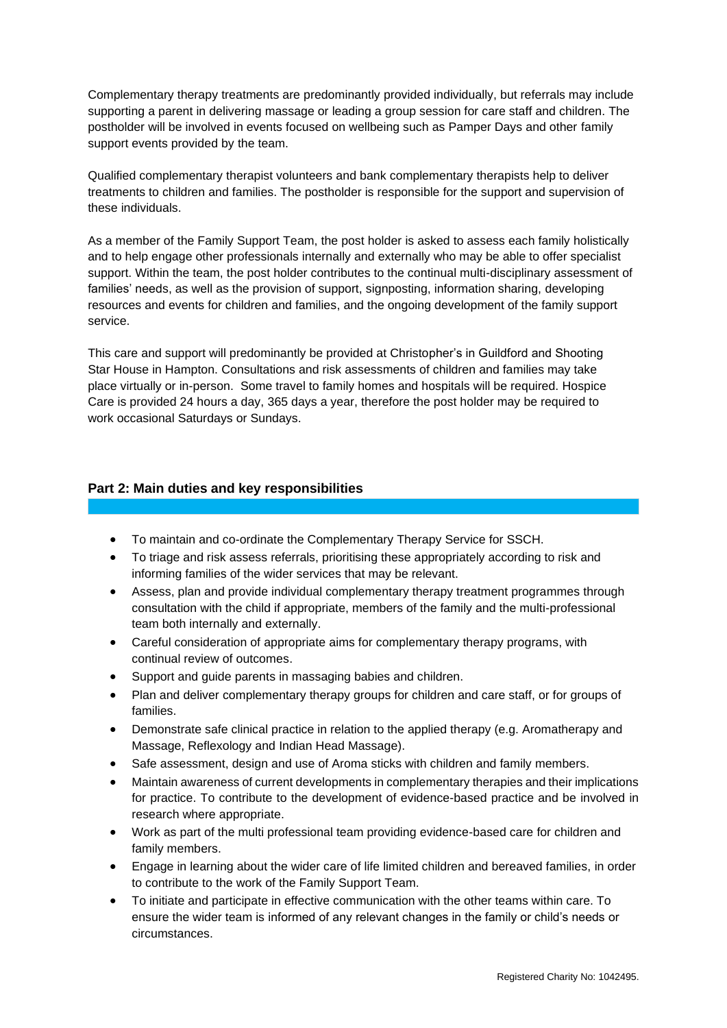Complementary therapy treatments are predominantly provided individually, but referrals may include supporting a parent in delivering massage or leading a group session for care staff and children. The postholder will be involved in events focused on wellbeing such as Pamper Days and other family support events provided by the team.

Qualified complementary therapist volunteers and bank complementary therapists help to deliver treatments to children and families. The postholder is responsible for the support and supervision of these individuals.

As a member of the Family Support Team, the post holder is asked to assess each family holistically and to help engage other professionals internally and externally who may be able to offer specialist support. Within the team, the post holder contributes to the continual multi-disciplinary assessment of families' needs, as well as the provision of support, signposting, information sharing, developing resources and events for children and families, and the ongoing development of the family support service.

This care and support will predominantly be provided at Christopher's in Guildford and Shooting Star House in Hampton. Consultations and risk assessments of children and families may take place virtually or in-person. Some travel to family homes and hospitals will be required. Hospice Care is provided 24 hours a day, 365 days a year, therefore the post holder may be required to work occasional Saturdays or Sundays.

# **Part 2: Main duties and key responsibilities**

- To maintain and co-ordinate the Complementary Therapy Service for SSCH.
- To triage and risk assess referrals, prioritising these appropriately according to risk and informing families of the wider services that may be relevant.
- Assess, plan and provide individual complementary therapy treatment programmes through consultation with the child if appropriate, members of the family and the multi-professional team both internally and externally.
- Careful consideration of appropriate aims for complementary therapy programs, with continual review of outcomes.
- Support and guide parents in massaging babies and children.
- Plan and deliver complementary therapy groups for children and care staff, or for groups of families.
- Demonstrate safe clinical practice in relation to the applied therapy (e.g. Aromatherapy and Massage, Reflexology and Indian Head Massage).
- Safe assessment, design and use of Aroma sticks with children and family members.
- Maintain awareness of current developments in complementary therapies and their implications for practice. To contribute to the development of evidence-based practice and be involved in research where appropriate.
- Work as part of the multi professional team providing evidence-based care for children and family members.
- Engage in learning about the wider care of life limited children and bereaved families, in order to contribute to the work of the Family Support Team.
- To initiate and participate in effective communication with the other teams within care. To ensure the wider team is informed of any relevant changes in the family or child's needs or circumstances.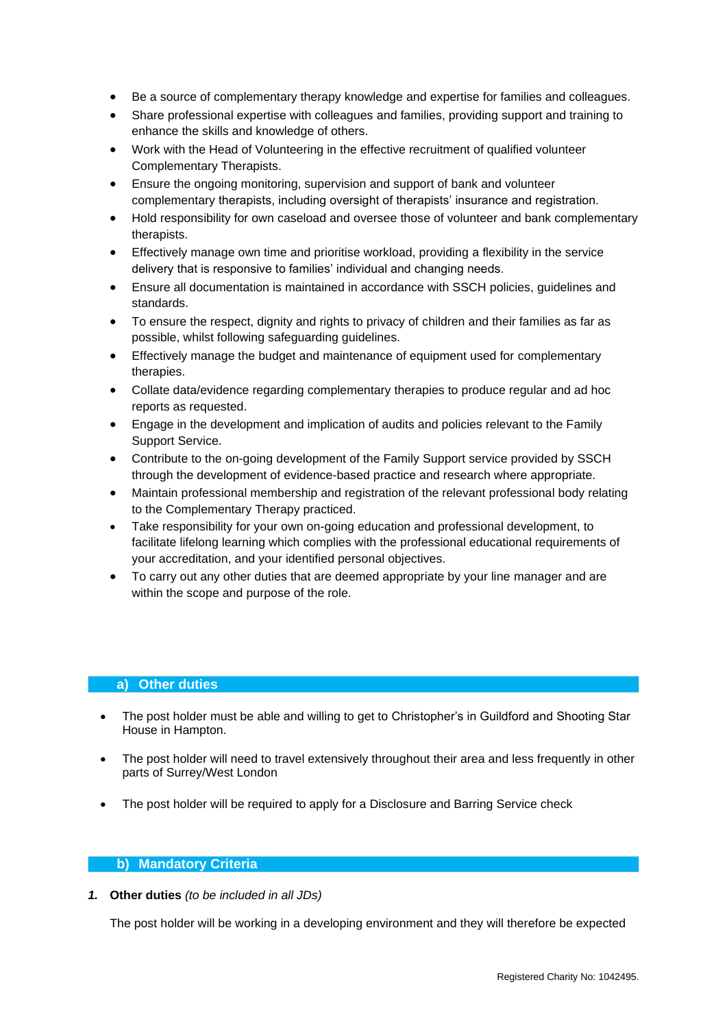- Be a source of complementary therapy knowledge and expertise for families and colleagues.
- Share professional expertise with colleagues and families, providing support and training to enhance the skills and knowledge of others.
- Work with the Head of Volunteering in the effective recruitment of qualified volunteer Complementary Therapists.
- Ensure the ongoing monitoring, supervision and support of bank and volunteer complementary therapists, including oversight of therapists' insurance and registration.
- Hold responsibility for own caseload and oversee those of volunteer and bank complementary therapists.
- Effectively manage own time and prioritise workload, providing a flexibility in the service delivery that is responsive to families' individual and changing needs.
- Ensure all documentation is maintained in accordance with SSCH policies, guidelines and standards.
- To ensure the respect, dignity and rights to privacy of children and their families as far as possible, whilst following safeguarding guidelines.
- Effectively manage the budget and maintenance of equipment used for complementary therapies.
- Collate data/evidence regarding complementary therapies to produce regular and ad hoc reports as requested.
- Engage in the development and implication of audits and policies relevant to the Family Support Service.
- Contribute to the on-going development of the Family Support service provided by SSCH through the development of evidence-based practice and research where appropriate.
- Maintain professional membership and registration of the relevant professional body relating to the Complementary Therapy practiced.
- Take responsibility for your own on-going education and professional development, to facilitate lifelong learning which complies with the professional educational requirements of your accreditation, and your identified personal objectives.
- To carry out any other duties that are deemed appropriate by your line manager and are within the scope and purpose of the role.

## **a) Other duties**

- The post holder must be able and willing to get to Christopher's in Guildford and Shooting Star House in Hampton.
- The post holder will need to travel extensively throughout their area and less frequently in other parts of Surrey/West London
- The post holder will be required to apply for a Disclosure and Barring Service check

## **b) Mandatory Criteria**

*1.* **Other duties** *(to be included in all JDs)*

The post holder will be working in a developing environment and they will therefore be expected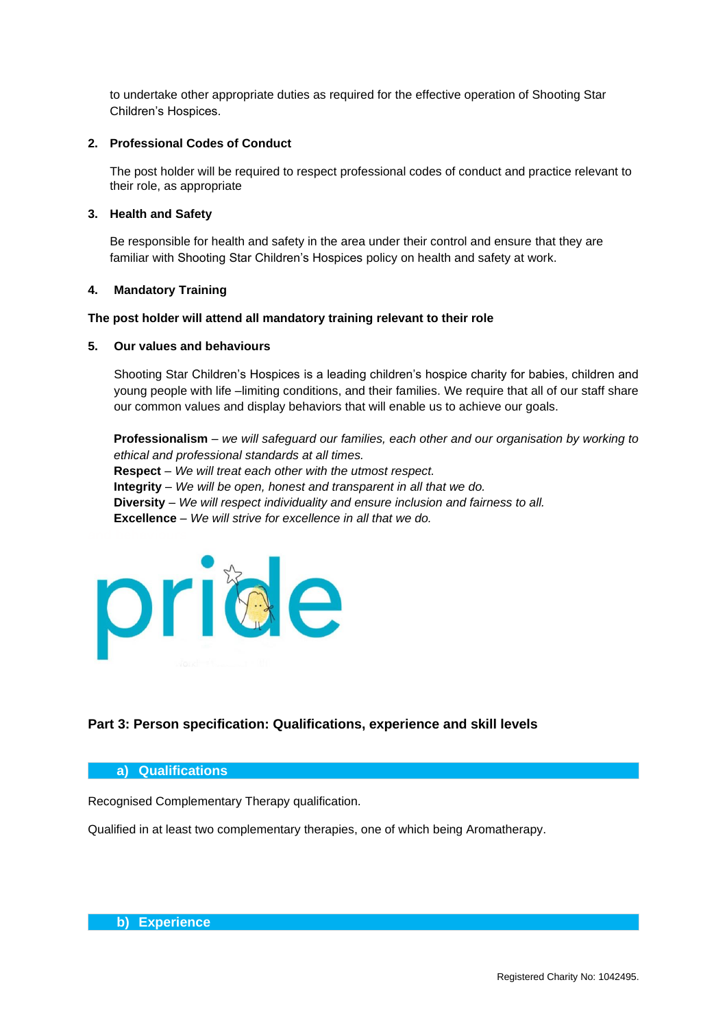to undertake other appropriate duties as required for the effective operation of Shooting Star Children's Hospices.

### **2. Professional Codes of Conduct**

The post holder will be required to respect professional codes of conduct and practice relevant to their role, as appropriate

#### **3. Health and Safety**

Be responsible for health and safety in the area under their control and ensure that they are familiar with Shooting Star Children's Hospices policy on health and safety at work.

#### **4. Mandatory Training**

#### **The post holder will attend all mandatory training relevant to their role**

#### **5. Our values and behaviours**

Shooting Star Children's Hospices is a leading children's hospice charity for babies, children and young people with life –limiting conditions, and their families. We require that all of our staff share our common values and display behaviors that will enable us to achieve our goals.

**Professionalism** – *we will safeguard our families, each other and our organisation by working to ethical and professional standards at all times.* **Respect** – *We will treat each other with the utmost respect.* **Integrity** – *We will be open, honest and transparent in all that we do.* **Diversity** – *We will respect individuality and ensure inclusion and fairness to all.* **Excellence** – *We will strive for excellence in all that we do.*



# **Part 3: Person specification: Qualifications, experience and skill levels**

#### **a) Qualifications**

Recognised Complementary Therapy qualification.

Qualified in at least two complementary therapies, one of which being Aromatherapy.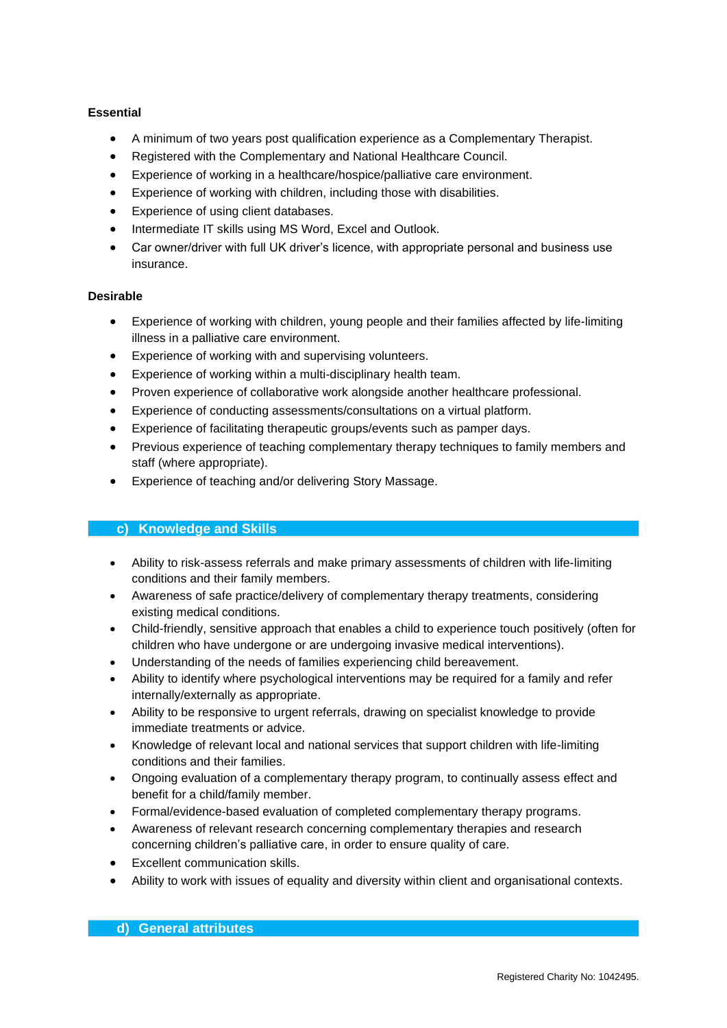# **Essential**

- A minimum of two years post qualification experience as a Complementary Therapist.
- Registered with the Complementary and National Healthcare Council.
- Experience of working in a healthcare/hospice/palliative care environment.
- Experience of working with children, including those with disabilities.
- Experience of using client databases.
- Intermediate IT skills using MS Word, Excel and Outlook.
- Car owner/driver with full UK driver's licence, with appropriate personal and business use insurance.

## **Desirable**

- Experience of working with children, young people and their families affected by life-limiting illness in a palliative care environment.
- Experience of working with and supervising volunteers.
- Experience of working within a multi-disciplinary health team.
- Proven experience of collaborative work alongside another healthcare professional.
- Experience of conducting assessments/consultations on a virtual platform.
- Experience of facilitating therapeutic groups/events such as pamper days.
- Previous experience of teaching complementary therapy techniques to family members and staff (where appropriate).
- Experience of teaching and/or delivering Story Massage.

# **c) Knowledge and Skills**

- Ability to risk-assess referrals and make primary assessments of children with life-limiting conditions and their family members.
- Awareness of safe practice/delivery of complementary therapy treatments, considering existing medical conditions.
- Child-friendly, sensitive approach that enables a child to experience touch positively (often for children who have undergone or are undergoing invasive medical interventions).
- Understanding of the needs of families experiencing child bereavement.
- Ability to identify where psychological interventions may be required for a family and refer internally/externally as appropriate.
- Ability to be responsive to urgent referrals, drawing on specialist knowledge to provide immediate treatments or advice.
- Knowledge of relevant local and national services that support children with life-limiting conditions and their families.
- Ongoing evaluation of a complementary therapy program, to continually assess effect and benefit for a child/family member.
- Formal/evidence-based evaluation of completed complementary therapy programs.
- Awareness of relevant research concerning complementary therapies and research concerning children's palliative care, in order to ensure quality of care.
- Excellent communication skills.
- Ability to work with issues of equality and diversity within client and organisational contexts.